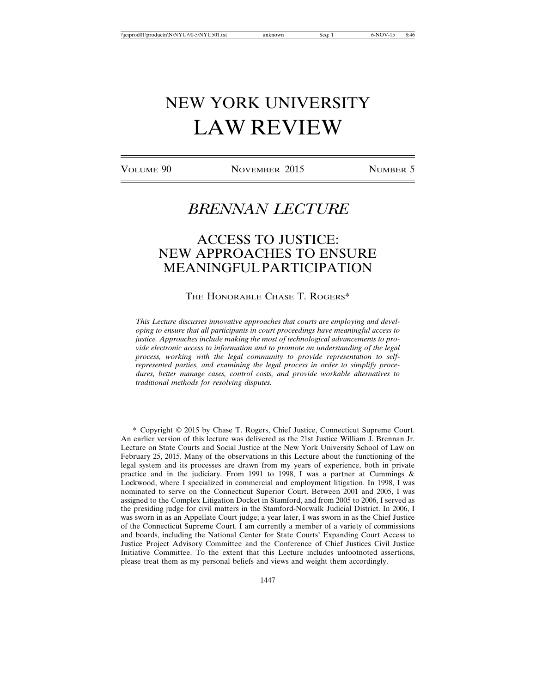# NEW YORK UNIVERSITY LAW REVIEW

VOLUME 90 NOVEMBER 2015 NUMBER 5

## *BRENNAN LECTURE*

### ACCESS TO JUSTICE: NEW APPROACHES TO ENSURE MEANINGFUL PARTICIPATION

THE HONORABLE CHASE T. ROGERS\*

*This Lecture discusses innovative approaches that courts are employing and developing to ensure that all participants in court proceedings have meaningful access to justice. Approaches include making the most of technological advancements to provide electronic access to information and to promote an understanding of the legal process, working with the legal community to provide representation to selfrepresented parties, and examining the legal process in order to simplify procedures, better manage cases, control costs, and provide workable alternatives to traditional methods for resolving disputes.*

\* Copyright © 2015 by Chase T. Rogers, Chief Justice, Connecticut Supreme Court. An earlier version of this lecture was delivered as the 21st Justice William J. Brennan Jr. Lecture on State Courts and Social Justice at the New York University School of Law on February 25, 2015. Many of the observations in this Lecture about the functioning of the legal system and its processes are drawn from my years of experience, both in private practice and in the judiciary. From 1991 to 1998, I was a partner at Cummings  $\&$ Lockwood, where I specialized in commercial and employment litigation. In 1998, I was nominated to serve on the Connecticut Superior Court. Between 2001 and 2005, I was assigned to the Complex Litigation Docket in Stamford, and from 2005 to 2006, I served as the presiding judge for civil matters in the Stamford-Norwalk Judicial District. In 2006, I was sworn in as an Appellate Court judge; a year later, I was sworn in as the Chief Justice of the Connecticut Supreme Court. I am currently a member of a variety of commissions and boards, including the National Center for State Courts' Expanding Court Access to Justice Project Advisory Committee and the Conference of Chief Justices Civil Justice Initiative Committee. To the extent that this Lecture includes unfootnoted assertions, please treat them as my personal beliefs and views and weight them accordingly.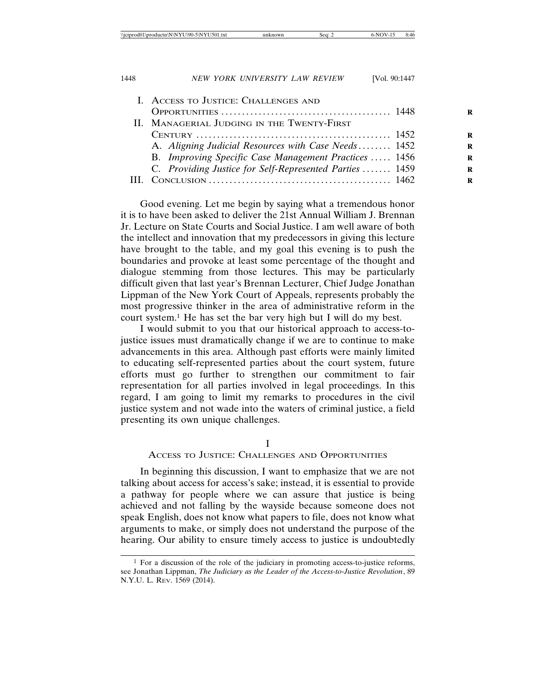|     | I. ACCESS TO JUSTICE: CHALLENGES AND                    |  |
|-----|---------------------------------------------------------|--|
|     |                                                         |  |
|     | II. MANAGERIAL JUDGING IN THE TWENTY-FIRST              |  |
|     |                                                         |  |
|     | A. Aligning Judicial Resources with Case Needs 1452     |  |
|     | B. Improving Specific Case Management Practices  1456   |  |
|     | C. Providing Justice for Self-Represented Parties  1459 |  |
| HL. |                                                         |  |
|     |                                                         |  |

Good evening. Let me begin by saying what a tremendous honor it is to have been asked to deliver the 21st Annual William J. Brennan Jr. Lecture on State Courts and Social Justice. I am well aware of both the intellect and innovation that my predecessors in giving this lecture have brought to the table, and my goal this evening is to push the boundaries and provoke at least some percentage of the thought and dialogue stemming from those lectures. This may be particularly difficult given that last year's Brennan Lecturer, Chief Judge Jonathan Lippman of the New York Court of Appeals, represents probably the most progressive thinker in the area of administrative reform in the court system.1 He has set the bar very high but I will do my best.

I would submit to you that our historical approach to access-tojustice issues must dramatically change if we are to continue to make advancements in this area. Although past efforts were mainly limited to educating self-represented parties about the court system, future efforts must go further to strengthen our commitment to fair representation for all parties involved in legal proceedings. In this regard, I am going to limit my remarks to procedures in the civil justice system and not wade into the waters of criminal justice, a field presenting its own unique challenges.

#### I

#### ACCESS TO JUSTICE: CHALLENGES AND OPPORTUNITIES

In beginning this discussion, I want to emphasize that we are not talking about access for access's sake; instead, it is essential to provide a pathway for people where we can assure that justice is being achieved and not falling by the wayside because someone does not speak English, does not know what papers to file, does not know what arguments to make, or simply does not understand the purpose of the hearing. Our ability to ensure timely access to justice is undoubtedly

 $<sup>1</sup>$  For a discussion of the role of the judiciary in promoting access-to-justice reforms,</sup> see Jonathan Lippman, *The Judiciary as the Leader of the Access-to-Justice Revolution*, 89 N.Y.U. L. REV. 1569 (2014).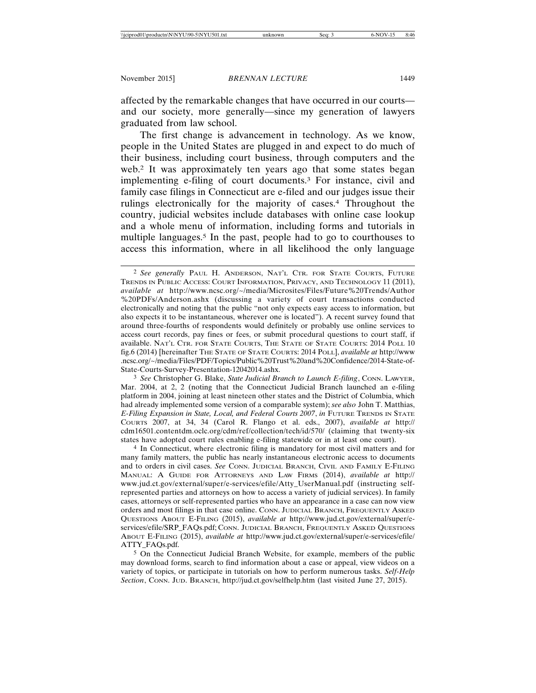affected by the remarkable changes that have occurred in our courts and our society, more generally—since my generation of lawyers graduated from law school.

The first change is advancement in technology. As we know, people in the United States are plugged in and expect to do much of their business, including court business, through computers and the web.2 It was approximately ten years ago that some states began implementing e-filing of court documents.3 For instance, civil and family case filings in Connecticut are e-filed and our judges issue their rulings electronically for the majority of cases.4 Throughout the country, judicial websites include databases with online case lookup and a whole menu of information, including forms and tutorials in multiple languages.5 In the past, people had to go to courthouses to access this information, where in all likelihood the only language

3 *See* Christopher G. Blake, *State Judicial Branch to Launch E-filing*, CONN. LAWYER, Mar. 2004, at 2, 2 (noting that the Connecticut Judicial Branch launched an e-filing platform in 2004, joining at least nineteen other states and the District of Columbia, which had already implemented some version of a comparable system); *see also* John T. Matthias, *E-Filing Expansion in State, Local, and Federal Courts 2007*, *in* FUTURE TRENDS IN STATE COURTS 2007, at 34, 34 (Carol R. Flango et al. eds., 2007), *available at* http:// cdm16501.contentdm.oclc.org/cdm/ref/collection/tech/id/570/ (claiming that twenty-six states have adopted court rules enabling e-filing statewide or in at least one court).

4 In Connecticut, where electronic filing is mandatory for most civil matters and for many family matters, the public has nearly instantaneous electronic access to documents and to orders in civil cases. *See* CONN. JUDICIAL BRANCH, CIVIL AND FAMILY E-FILING MANUAL: A GUIDE FOR ATTORNEYS AND LAW FIRMS (2014), *available at* http:// www.jud.ct.gov/external/super/e-services/efile/Atty\_UserManual.pdf (instructing selfrepresented parties and attorneys on how to access a variety of judicial services). In family cases, attorneys or self-represented parties who have an appearance in a case can now view orders and most filings in that case online. CONN. JUDICIAL BRANCH, FREQUENTLY ASKED QUESTIONS ABOUT E-FILING (2015), *available at* http://www.jud.ct.gov/external/super/eservices/efile/SRP\_FAQs.pdf; CONN. JUDICIAL BRANCH, FREQUENTLY ASKED QUESTIONS ABOUT E-FILING (2015), *available at* http://www.jud.ct.gov/external/super/e-services/efile/ ATTY\_FAQs.pdf.

5 On the Connecticut Judicial Branch Website, for example, members of the public may download forms, search to find information about a case or appeal, view videos on a variety of topics, or participate in tutorials on how to perform numerous tasks. *Self-Help Section*, CONN. JUD. BRANCH, http://jud.ct.gov/selfhelp.htm (last visited June 27, 2015).

<sup>2</sup> *See generally* PAUL H. ANDERSON, NAT'L CTR. FOR STATE COURTS, FUTURE TRENDS IN PUBLIC ACCESS: COURT INFORMATION, PRIVACY, AND TECHNOLOGY 11 (2011), *available at* http://www.ncsc.org/~/media/Microsites/Files/Future%20Trends/Author %20PDFs/Anderson.ashx (discussing a variety of court transactions conducted electronically and noting that the public "not only expects easy access to information, but also expects it to be instantaneous, wherever one is located"). A recent survey found that around three-fourths of respondents would definitely or probably use online services to access court records, pay fines or fees, or submit procedural questions to court staff, if available. NAT'L CTR. FOR STATE COURTS, THE STATE OF STATE COURTS: 2014 POLL 10 fig.6 (2014) [hereinafter THE STATE OF STATE COURTS: 2014 POLL], *available at* http://www .ncsc.org/~/media/Files/PDF/Topics/Public%20Trust%20and%20Confidence/2014-State-of-State-Courts-Survey-Presentation-12042014.ashx.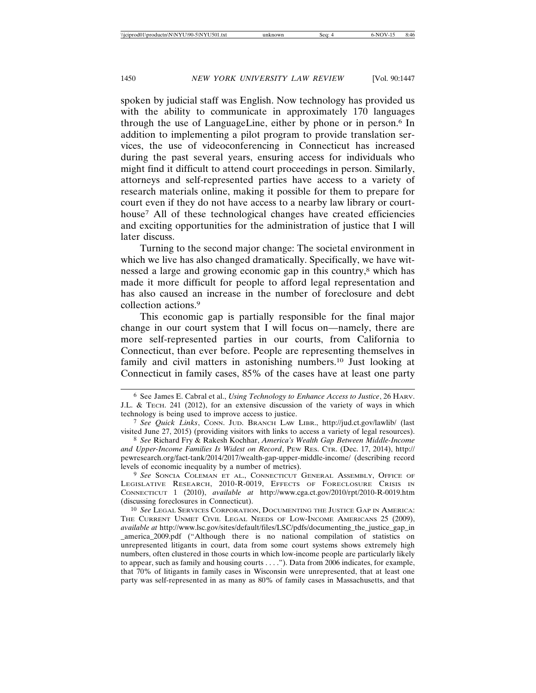spoken by judicial staff was English. Now technology has provided us with the ability to communicate in approximately 170 languages through the use of LanguageLine, either by phone or in person.6 In addition to implementing a pilot program to provide translation services, the use of videoconferencing in Connecticut has increased during the past several years, ensuring access for individuals who might find it difficult to attend court proceedings in person. Similarly, attorneys and self-represented parties have access to a variety of research materials online, making it possible for them to prepare for court even if they do not have access to a nearby law library or courthouse7 All of these technological changes have created efficiencies and exciting opportunities for the administration of justice that I will later discuss.

Turning to the second major change: The societal environment in which we live has also changed dramatically. Specifically, we have witnessed a large and growing economic gap in this country,<sup>8</sup> which has made it more difficult for people to afford legal representation and has also caused an increase in the number of foreclosure and debt collection actions.9

This economic gap is partially responsible for the final major change in our court system that I will focus on—namely, there are more self-represented parties in our courts, from California to Connecticut, than ever before. People are representing themselves in family and civil matters in astonishing numbers.10 Just looking at Connecticut in family cases, 85% of the cases have at least one party

9 *See* SONCIA COLEMAN ET AL., CONNECTICUT GENERAL ASSEMBLY, OFFICE OF LEGISLATIVE RESEARCH, 2010-R-0019, EFFECTS OF FORECLOSURE CRISIS IN CONNECTICUT 1 (2010), *available at* http://www.cga.ct.gov/2010/rpt/2010-R-0019.htm (discussing foreclosures in Connecticut).

<sup>6</sup> See James E. Cabral et al., *Using Technology to Enhance Access to Justice*, 26 HARV. J.L. & TECH. 241 (2012), for an extensive discussion of the variety of ways in which technology is being used to improve access to justice.

<sup>7</sup> *See Quick Links*, CONN. JUD. BRANCH LAW LIBR., http://jud.ct.gov/lawlib/ (last visited June 27, 2015) (providing visitors with links to access a variety of legal resources).

<sup>8</sup> *See* Richard Fry & Rakesh Kochhar, *America's Wealth Gap Between Middle-Income and Upper-Income Families Is Widest on Record*, PEW RES. CTR. (Dec. 17, 2014), http:// pewresearch.org/fact-tank/2014/2017/wealth-gap-upper-middle-income/ (describing record levels of economic inequality by a number of metrics).

<sup>10</sup> *See* LEGAL SERVICES CORPORATION, DOCUMENTING THE JUSTICE GAP IN AMERICA: THE CURRENT UNMET CIVIL LEGAL NEEDS OF LOW-INCOME AMERICANS 25 (2009), *available at* http://www.lsc.gov/sites/default/files/LSC/pdfs/documenting\_the\_justice\_gap\_in \_america\_2009.pdf ("Although there is no national compilation of statistics on unrepresented litigants in court, data from some court systems shows extremely high numbers, often clustered in those courts in which low-income people are particularly likely to appear, such as family and housing courts . . . ."). Data from 2006 indicates, for example, that 70% of litigants in family cases in Wisconsin were unrepresented, that at least one party was self-represented in as many as 80% of family cases in Massachusetts, and that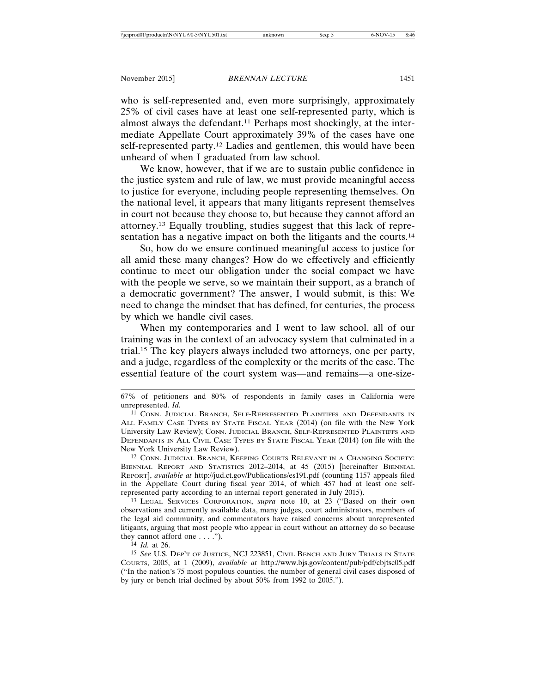who is self-represented and, even more surprisingly, approximately 25% of civil cases have at least one self-represented party, which is almost always the defendant.<sup>11</sup> Perhaps most shockingly, at the intermediate Appellate Court approximately 39% of the cases have one self-represented party.12 Ladies and gentlemen, this would have been unheard of when I graduated from law school.

We know, however, that if we are to sustain public confidence in the justice system and rule of law, we must provide meaningful access to justice for everyone, including people representing themselves. On the national level, it appears that many litigants represent themselves in court not because they choose to, but because they cannot afford an attorney.13 Equally troubling, studies suggest that this lack of representation has a negative impact on both the litigants and the courts.<sup>14</sup>

So, how do we ensure continued meaningful access to justice for all amid these many changes? How do we effectively and efficiently continue to meet our obligation under the social compact we have with the people we serve, so we maintain their support, as a branch of a democratic government? The answer, I would submit, is this: We need to change the mindset that has defined, for centuries, the process by which we handle civil cases.

When my contemporaries and I went to law school, all of our training was in the context of an advocacy system that culminated in a trial.15 The key players always included two attorneys, one per party, and a judge, regardless of the complexity or the merits of the case. The essential feature of the court system was—and remains—a one-size-

12 CONN. JUDICIAL BRANCH, KEEPING COURTS RELEVANT IN A CHANGING SOCIETY: BIENNIAL REPORT AND STATISTICS 2012–2014, at 45 (2015) [hereinafter BIENNIAL REPORT], *available at* http://jud.ct.gov/Publications/es191.pdf (counting 1157 appeals filed in the Appellate Court during fiscal year 2014, of which 457 had at least one selfrepresented party according to an internal report generated in July 2015).

13 LEGAL SERVICES CORPORATION, *supra* note 10, at 23 ("Based on their own observations and currently available data, many judges, court administrators, members of the legal aid community, and commentators have raised concerns about unrepresented litigants, arguing that most people who appear in court without an attorney do so because they cannot afford one . . . .").

14 *Id.* at 26.

<sup>67%</sup> of petitioners and 80% of respondents in family cases in California were unrepresented. *Id.*

<sup>11</sup> CONN. JUDICIAL BRANCH, SELF-REPRESENTED PLAINTIFFS AND DEFENDANTS IN ALL FAMILY CASE TYPES BY STATE FISCAL YEAR (2014) (on file with the New York University Law Review); CONN. JUDICIAL BRANCH, SELF-REPRESENTED PLAINTIFFS AND DEFENDANTS IN ALL CIVIL CASE TYPES BY STATE FISCAL YEAR (2014) (on file with the New York University Law Review).

<sup>15</sup> *See* U.S. DEP'T OF JUSTICE, NCJ 223851, CIVIL BENCH AND JURY TRIALS IN STATE COURTS, 2005, at 1 (2009), *available at* http://www.bjs.gov/content/pub/pdf/cbjtsc05.pdf ("In the nation's 75 most populous counties, the number of general civil cases disposed of by jury or bench trial declined by about 50% from 1992 to 2005.").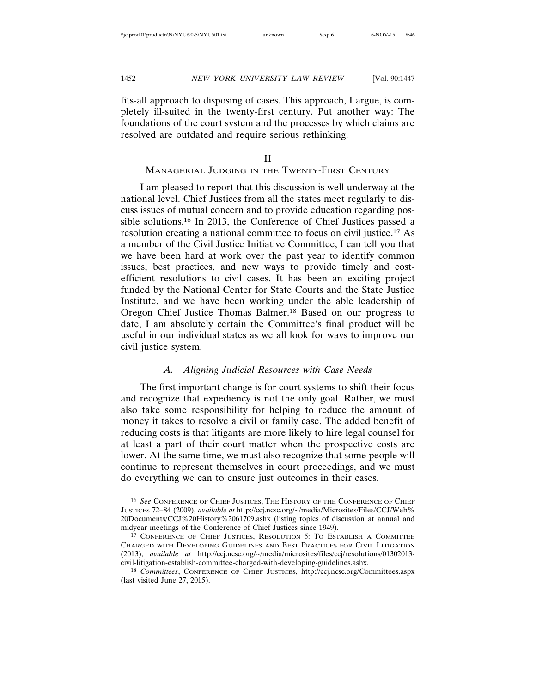fits-all approach to disposing of cases. This approach, I argue, is completely ill-suited in the twenty-first century. Put another way: The foundations of the court system and the processes by which claims are resolved are outdated and require serious rethinking.

#### II

#### MANAGERIAL JUDGING IN THE TWENTY-FIRST CENTURY

I am pleased to report that this discussion is well underway at the national level. Chief Justices from all the states meet regularly to discuss issues of mutual concern and to provide education regarding possible solutions.16 In 2013, the Conference of Chief Justices passed a resolution creating a national committee to focus on civil justice.17 As a member of the Civil Justice Initiative Committee, I can tell you that we have been hard at work over the past year to identify common issues, best practices, and new ways to provide timely and costefficient resolutions to civil cases. It has been an exciting project funded by the National Center for State Courts and the State Justice Institute, and we have been working under the able leadership of Oregon Chief Justice Thomas Balmer.18 Based on our progress to date, I am absolutely certain the Committee's final product will be useful in our individual states as we all look for ways to improve our civil justice system.

#### *A. Aligning Judicial Resources with Case Needs*

The first important change is for court systems to shift their focus and recognize that expediency is not the only goal. Rather, we must also take some responsibility for helping to reduce the amount of money it takes to resolve a civil or family case. The added benefit of reducing costs is that litigants are more likely to hire legal counsel for at least a part of their court matter when the prospective costs are lower. At the same time, we must also recognize that some people will continue to represent themselves in court proceedings, and we must do everything we can to ensure just outcomes in their cases.

<sup>16</sup> *See* CONFERENCE OF CHIEF JUSTICES, THE HISTORY OF THE CONFERENCE OF CHIEF JUSTICES 72–84 (2009), *available at* http://ccj.ncsc.org/~/media/Microsites/Files/CCJ/Web% 20Documents/CCJ%20History%2061709.ashx (listing topics of discussion at annual and midyear meetings of the Conference of Chief Justices since 1949).

<sup>17</sup> CONFERENCE OF CHIEF JUSTICES, RESOLUTION 5: TO ESTABLISH A COMMITTEE CHARGED WITH DEVELOPING GUIDELINES AND BEST PRACTICES FOR CIVIL LITIGATION (2013), *available at* http://ccj.ncsc.org/~/media/microsites/files/ccj/resolutions/01302013 civil-litigation-establish-committee-charged-with-developing-guidelines.ashx.

<sup>18</sup> *Committees*, CONFERENCE OF CHIEF JUSTICES, http://ccj.ncsc.org/Committees.aspx (last visited June 27, 2015).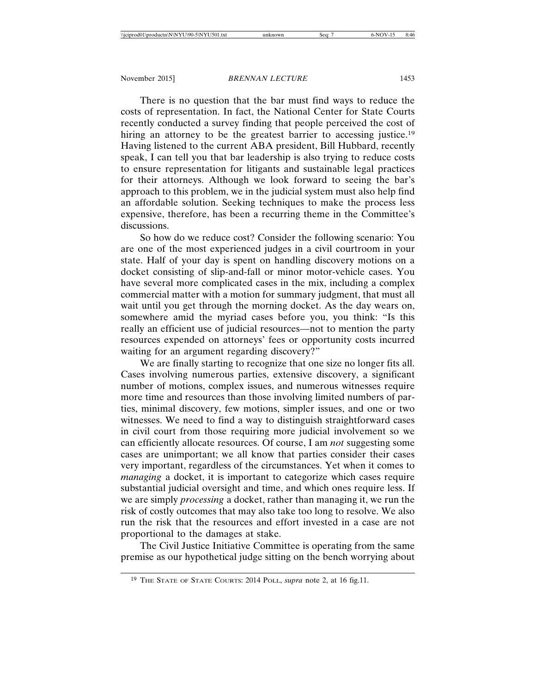There is no question that the bar must find ways to reduce the costs of representation. In fact, the National Center for State Courts recently conducted a survey finding that people perceived the cost of hiring an attorney to be the greatest barrier to accessing justice.<sup>19</sup> Having listened to the current ABA president, Bill Hubbard, recently speak, I can tell you that bar leadership is also trying to reduce costs to ensure representation for litigants and sustainable legal practices for their attorneys. Although we look forward to seeing the bar's approach to this problem, we in the judicial system must also help find an affordable solution. Seeking techniques to make the process less expensive, therefore, has been a recurring theme in the Committee's discussions.

So how do we reduce cost? Consider the following scenario: You are one of the most experienced judges in a civil courtroom in your state. Half of your day is spent on handling discovery motions on a docket consisting of slip-and-fall or minor motor-vehicle cases. You have several more complicated cases in the mix, including a complex commercial matter with a motion for summary judgment, that must all wait until you get through the morning docket. As the day wears on, somewhere amid the myriad cases before you, you think: "Is this really an efficient use of judicial resources—not to mention the party resources expended on attorneys' fees or opportunity costs incurred waiting for an argument regarding discovery?"

We are finally starting to recognize that one size no longer fits all. Cases involving numerous parties, extensive discovery, a significant number of motions, complex issues, and numerous witnesses require more time and resources than those involving limited numbers of parties, minimal discovery, few motions, simpler issues, and one or two witnesses. We need to find a way to distinguish straightforward cases in civil court from those requiring more judicial involvement so we can efficiently allocate resources. Of course, I am *not* suggesting some cases are unimportant; we all know that parties consider their cases very important, regardless of the circumstances. Yet when it comes to *managing* a docket, it is important to categorize which cases require substantial judicial oversight and time, and which ones require less. If we are simply *processing* a docket, rather than managing it, we run the risk of costly outcomes that may also take too long to resolve. We also run the risk that the resources and effort invested in a case are not proportional to the damages at stake.

The Civil Justice Initiative Committee is operating from the same premise as our hypothetical judge sitting on the bench worrying about

<sup>19</sup> THE STATE OF STATE COURTS: 2014 POLL, *supra* note 2, at 16 fig.11.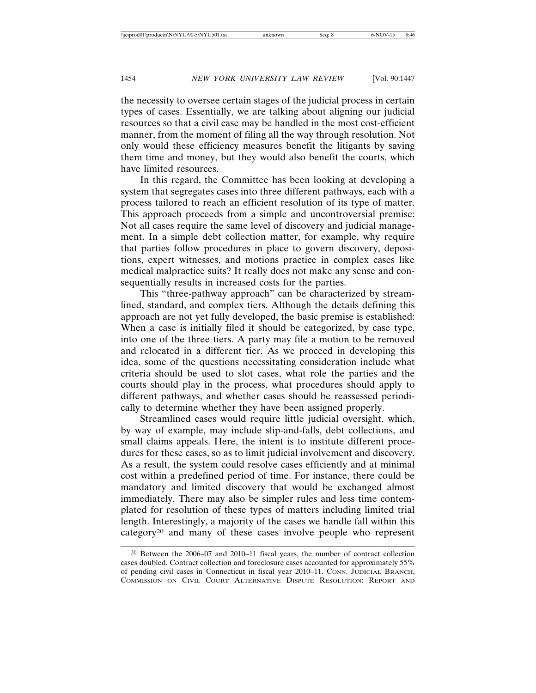the necessity to oversee certain stages of the judicial process in certain types of cases. Essentially, we are talking about aligning our judicial resources so that a civil case may be handled in the most cost-efficient manner, from the moment of filing all the way through resolution. Not only would these efficiency measures benefit the litigants by saving them time and money, but they would also benefit the courts, which have limited resources.

In this regard, the Committee has been looking at developing a system that segregates cases into three different pathways, each with a process tailored to reach an efficient resolution of its type of matter. This approach proceeds from a simple and uncontroversial premise: Not all cases require the same level of discovery and judicial management. In a simple debt collection matter, for example, why require that parties follow procedures in place to govern discovery, depositions, expert witnesses, and motions practice in complex cases like medical malpractice suits? It really does not make any sense and consequentially results in increased costs for the parties.

This "three-pathway approach" can be characterized by streamlined, standard, and complex tiers. Although the details defining this approach are not yet fully developed, the basic premise is established: When a case is initially filed it should be categorized, by case type, into one of the three tiers. A party may file a motion to be removed and relocated in a different tier. As we proceed in developing this idea, some of the questions necessitating consideration include what criteria should be used to slot cases, what role the parties and the courts should play in the process, what procedures should apply to different pathways, and whether cases should be reassessed periodically to determine whether they have been assigned properly.

Streamlined cases would require little judicial oversight, which, by way of example, may include slip-and-falls, debt collections, and small claims appeals. Here, the intent is to institute different procedures for these cases, so as to limit judicial involvement and discovery. As a result, the system could resolve cases efficiently and at minimal cost within a predefined period of time. For instance, there could be mandatory and limited discovery that would be exchanged almost immediately. There may also be simpler rules and less time contemplated for resolution of these types of matters including limited trial length. Interestingly, a majority of the cases we handle fall within this category20 and many of these cases involve people who represent

<sup>20</sup> Between the 2006–07 and 2010–11 fiscal years, the number of contract collection cases doubled. Contract collection and foreclosure cases accounted for approximately 55% of pending civil cases in Connecticut in fiscal year 2010–11. CONN. JUDICIAL BRANCH, COMMISSION ON CIVIL COURT ALTERNATIVE DISPUTE RESOLUTION: REPORT AND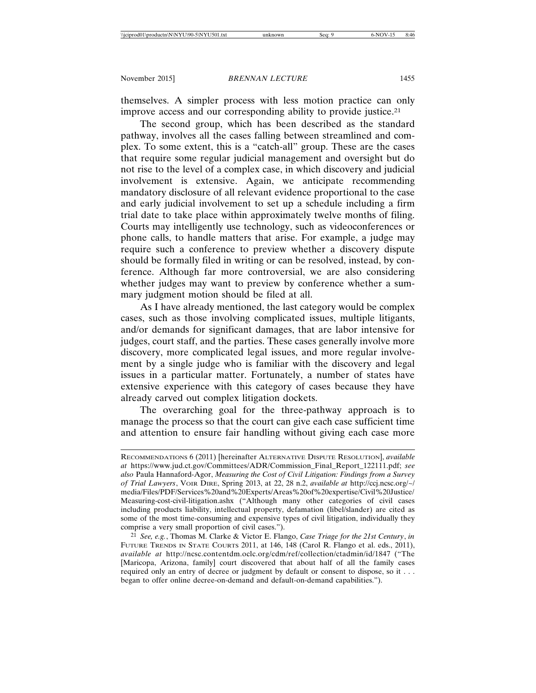themselves. A simpler process with less motion practice can only improve access and our corresponding ability to provide justice.<sup>21</sup>

The second group, which has been described as the standard pathway, involves all the cases falling between streamlined and complex. To some extent, this is a "catch-all" group. These are the cases that require some regular judicial management and oversight but do not rise to the level of a complex case, in which discovery and judicial involvement is extensive. Again, we anticipate recommending mandatory disclosure of all relevant evidence proportional to the case and early judicial involvement to set up a schedule including a firm trial date to take place within approximately twelve months of filing. Courts may intelligently use technology, such as videoconferences or phone calls, to handle matters that arise. For example, a judge may require such a conference to preview whether a discovery dispute should be formally filed in writing or can be resolved, instead, by conference. Although far more controversial, we are also considering whether judges may want to preview by conference whether a summary judgment motion should be filed at all.

As I have already mentioned, the last category would be complex cases, such as those involving complicated issues, multiple litigants, and/or demands for significant damages, that are labor intensive for judges, court staff, and the parties. These cases generally involve more discovery, more complicated legal issues, and more regular involvement by a single judge who is familiar with the discovery and legal issues in a particular matter. Fortunately, a number of states have extensive experience with this category of cases because they have already carved out complex litigation dockets.

The overarching goal for the three-pathway approach is to manage the process so that the court can give each case sufficient time and attention to ensure fair handling without giving each case more

RECOMMENDATIONS 6 (2011) [hereinafter ALTERNATIVE DISPUTE RESOLUTION], *available at* https://www.jud.ct.gov/Committees/ADR/Commission\_Final\_Report\_122111.pdf; *see also* Paula Hannaford-Agor, *Measuring the Cost of Civil Litigation: Findings from a Survey of Trial Lawyers*, VOIR DIRE, Spring 2013, at 22, 28 n.2, *available at* http://ccj.ncsc.org/~/ media/Files/PDF/Services%20and%20Experts/Areas%20of%20expertise/Civil%20Justice/ Measuring-cost-civil-litigation.ashx ("Although many other categories of civil cases including products liability, intellectual property, defamation (libel/slander) are cited as some of the most time-consuming and expensive types of civil litigation, individually they comprise a very small proportion of civil cases.").

<sup>21</sup> *See, e.g.*, Thomas M. Clarke & Victor E. Flango, *Case Triage for the 21st Century*, *in* FUTURE TRENDS IN STATE COURTS 2011, at 146, 148 (Carol R. Flango et al. eds., 2011), *available at* http://ncsc.contentdm.oclc.org/cdm/ref/collection/ctadmin/id/1847 ("The [Maricopa, Arizona, family] court discovered that about half of all the family cases required only an entry of decree or judgment by default or consent to dispose, so it . . . began to offer online decree-on-demand and default-on-demand capabilities.").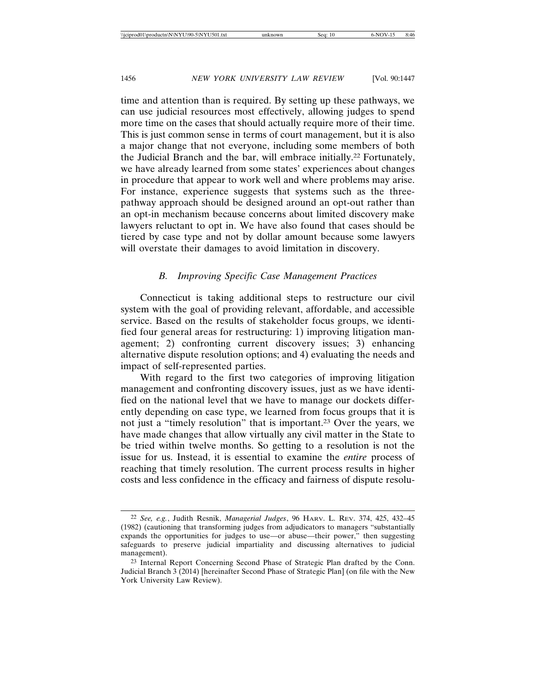time and attention than is required. By setting up these pathways, we can use judicial resources most effectively, allowing judges to spend more time on the cases that should actually require more of their time. This is just common sense in terms of court management, but it is also a major change that not everyone, including some members of both the Judicial Branch and the bar, will embrace initially.22 Fortunately, we have already learned from some states' experiences about changes in procedure that appear to work well and where problems may arise. For instance, experience suggests that systems such as the threepathway approach should be designed around an opt-out rather than an opt-in mechanism because concerns about limited discovery make lawyers reluctant to opt in. We have also found that cases should be tiered by case type and not by dollar amount because some lawyers will overstate their damages to avoid limitation in discovery.

#### *B. Improving Specific Case Management Practices*

Connecticut is taking additional steps to restructure our civil system with the goal of providing relevant, affordable, and accessible service. Based on the results of stakeholder focus groups, we identified four general areas for restructuring: 1) improving litigation management; 2) confronting current discovery issues; 3) enhancing alternative dispute resolution options; and 4) evaluating the needs and impact of self-represented parties.

With regard to the first two categories of improving litigation management and confronting discovery issues, just as we have identified on the national level that we have to manage our dockets differently depending on case type, we learned from focus groups that it is not just a "timely resolution" that is important.23 Over the years, we have made changes that allow virtually any civil matter in the State to be tried within twelve months. So getting to a resolution is not the issue for us. Instead, it is essential to examine the *entire* process of reaching that timely resolution. The current process results in higher costs and less confidence in the efficacy and fairness of dispute resolu-

<sup>22</sup> *See, e.g.*, Judith Resnik, *Managerial Judges*, 96 HARV. L. REV. 374, 425, 432–45 (1982) (cautioning that transforming judges from adjudicators to managers "substantially expands the opportunities for judges to use—or abuse—their power," then suggesting safeguards to preserve judicial impartiality and discussing alternatives to judicial management).

<sup>23</sup> Internal Report Concerning Second Phase of Strategic Plan drafted by the Conn. Judicial Branch 3 (2014) [hereinafter Second Phase of Strategic Plan] (on file with the New York University Law Review).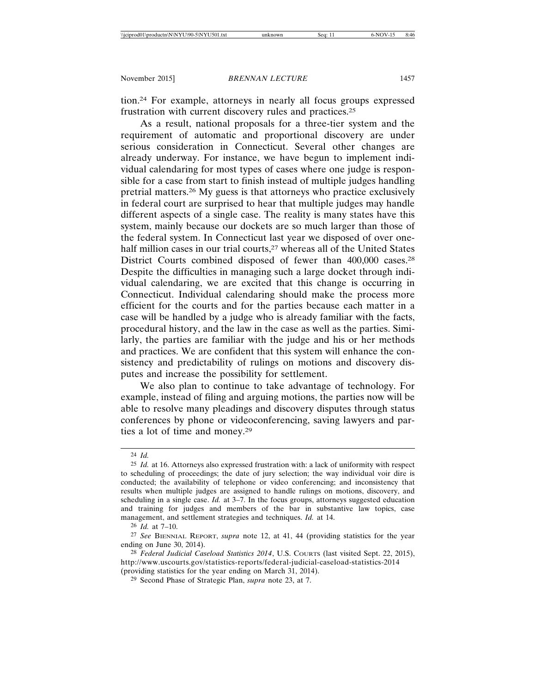tion.24 For example, attorneys in nearly all focus groups expressed frustration with current discovery rules and practices.25

As a result, national proposals for a three-tier system and the requirement of automatic and proportional discovery are under serious consideration in Connecticut. Several other changes are already underway. For instance, we have begun to implement individual calendaring for most types of cases where one judge is responsible for a case from start to finish instead of multiple judges handling pretrial matters.26 My guess is that attorneys who practice exclusively in federal court are surprised to hear that multiple judges may handle different aspects of a single case. The reality is many states have this system, mainly because our dockets are so much larger than those of the federal system. In Connecticut last year we disposed of over onehalf million cases in our trial courts,<sup>27</sup> whereas all of the United States District Courts combined disposed of fewer than 400,000 cases.28 Despite the difficulties in managing such a large docket through individual calendaring, we are excited that this change is occurring in Connecticut. Individual calendaring should make the process more efficient for the courts and for the parties because each matter in a case will be handled by a judge who is already familiar with the facts, procedural history, and the law in the case as well as the parties. Similarly, the parties are familiar with the judge and his or her methods and practices. We are confident that this system will enhance the consistency and predictability of rulings on motions and discovery disputes and increase the possibility for settlement.

We also plan to continue to take advantage of technology. For example, instead of filing and arguing motions, the parties now will be able to resolve many pleadings and discovery disputes through status conferences by phone or videoconferencing, saving lawyers and parties a lot of time and money.29

26 *Id.* at 7–10.

<sup>24</sup> *Id.*

<sup>25</sup> *Id.* at 16. Attorneys also expressed frustration with: a lack of uniformity with respect to scheduling of proceedings; the date of jury selection; the way individual voir dire is conducted; the availability of telephone or video conferencing; and inconsistency that results when multiple judges are assigned to handle rulings on motions, discovery, and scheduling in a single case. *Id.* at 3–7. In the focus groups, attorneys suggested education and training for judges and members of the bar in substantive law topics, case management, and settlement strategies and techniques. *Id.* at 14.

<sup>27</sup> *See* BIENNIAL REPORT, *supra* note 12, at 41, 44 (providing statistics for the year ending on June 30, 2014).

<sup>28</sup> *Federal Judicial Caseload Statistics 2014*, U.S. COURTS (last visited Sept. 22, 2015), http://www.uscourts.gov/statistics-reports/federal-judicial-caseload-statistics-2014 (providing statistics for the year ending on March 31, 2014).

<sup>29</sup> Second Phase of Strategic Plan, *supra* note 23, at 7.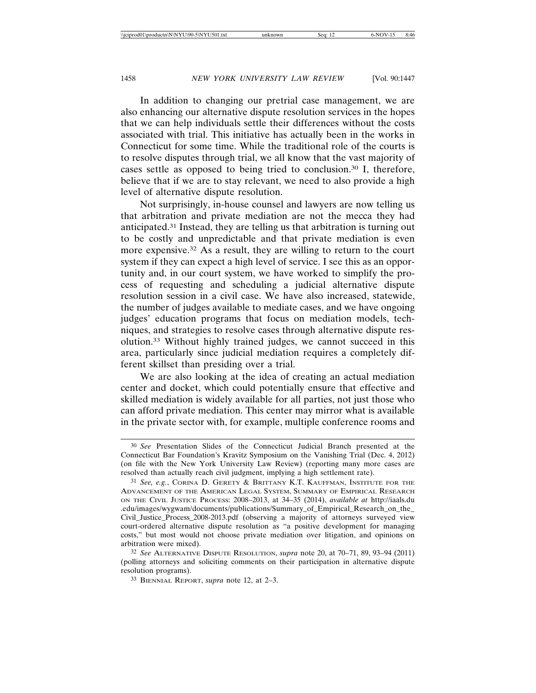In addition to changing our pretrial case management, we are also enhancing our alternative dispute resolution services in the hopes that we can help individuals settle their differences without the costs associated with trial. This initiative has actually been in the works in Connecticut for some time. While the traditional role of the courts is to resolve disputes through trial, we all know that the vast majority of cases settle as opposed to being tried to conclusion.30 I, therefore, believe that if we are to stay relevant, we need to also provide a high level of alternative dispute resolution.

Not surprisingly, in-house counsel and lawyers are now telling us that arbitration and private mediation are not the mecca they had anticipated.31 Instead, they are telling us that arbitration is turning out to be costly and unpredictable and that private mediation is even more expensive.32 As a result, they are willing to return to the court system if they can expect a high level of service. I see this as an opportunity and, in our court system, we have worked to simplify the process of requesting and scheduling a judicial alternative dispute resolution session in a civil case. We have also increased, statewide, the number of judges available to mediate cases, and we have ongoing judges' education programs that focus on mediation models, techniques, and strategies to resolve cases through alternative dispute resolution.33 Without highly trained judges, we cannot succeed in this area, particularly since judicial mediation requires a completely different skillset than presiding over a trial.

We are also looking at the idea of creating an actual mediation center and docket, which could potentially ensure that effective and skilled mediation is widely available for all parties, not just those who can afford private mediation. This center may mirror what is available in the private sector with, for example, multiple conference rooms and

<sup>30</sup> *See* Presentation Slides of the Connecticut Judicial Branch presented at the Connecticut Bar Foundation's Kravitz Symposium on the Vanishing Trial (Dec. 4, 2012) (on file with the New York University Law Review) (reporting many more cases are resolved than actually reach civil judgment, implying a high settlement rate).

<sup>31</sup> *See, e.g.*, CORINA D. GERETY & BRITTANY K.T. KAUFFMAN, INSTITUTE FOR THE ADVANCEMENT OF THE AMERICAN LEGAL SYSTEM, SUMMARY OF EMPIRICAL RESEARCH ON THE CIVIL JUSTICE PROCESS: 2008–2013, at 34–35 (2014), *available at* http://iaals.du .edu/images/wygwam/documents/publications/Summary\_of\_Empirical\_Research\_on\_the\_ Civil\_Justice\_Process\_2008-2013.pdf (observing a majority of attorneys surveyed view court-ordered alternative dispute resolution as "a positive development for managing costs," but most would not choose private mediation over litigation, and opinions on arbitration were mixed).

<sup>32</sup> *See* ALTERNATIVE DISPUTE RESOLUTION, *supra* note 20, at 70–71, 89, 93–94 (2011) (polling attorneys and soliciting comments on their participation in alternative dispute resolution programs).

<sup>33</sup> BIENNIAL REPORT, *supra* note 12, at 2–3.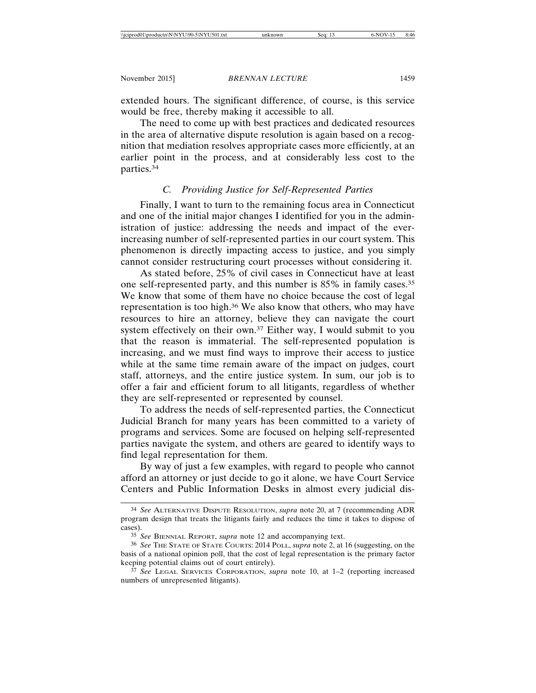extended hours. The significant difference, of course, is this service would be free, thereby making it accessible to all.

The need to come up with best practices and dedicated resources in the area of alternative dispute resolution is again based on a recognition that mediation resolves appropriate cases more efficiently, at an earlier point in the process, and at considerably less cost to the parties.34

#### *C. Providing Justice for Self-Represented Parties*

Finally, I want to turn to the remaining focus area in Connecticut and one of the initial major changes I identified for you in the administration of justice: addressing the needs and impact of the everincreasing number of self-represented parties in our court system. This phenomenon is directly impacting access to justice, and you simply cannot consider restructuring court processes without considering it.

As stated before, 25% of civil cases in Connecticut have at least one self-represented party, and this number is 85% in family cases.35 We know that some of them have no choice because the cost of legal representation is too high.36 We also know that others, who may have resources to hire an attorney, believe they can navigate the court system effectively on their own.37 Either way, I would submit to you that the reason is immaterial. The self-represented population is increasing, and we must find ways to improve their access to justice while at the same time remain aware of the impact on judges, court staff, attorneys, and the entire justice system. In sum, our job is to offer a fair and efficient forum to all litigants, regardless of whether they are self-represented or represented by counsel.

To address the needs of self-represented parties, the Connecticut Judicial Branch for many years has been committed to a variety of programs and services. Some are focused on helping self-represented parties navigate the system, and others are geared to identify ways to find legal representation for them.

By way of just a few examples, with regard to people who cannot afford an attorney or just decide to go it alone, we have Court Service Centers and Public Information Desks in almost every judicial dis-

<sup>34</sup> *See* ALTERNATIVE DISPUTE RESOLUTION, *supra* note 20, at 7 (recommending ADR program design that treats the litigants fairly and reduces the time it takes to dispose of cases).

<sup>35</sup> *See* BIENNIAL REPORT, *supra* note 12 and accompanying text.

<sup>36</sup> *See* THE STATE OF STATE COURTS: 2014 POLL, *supra* note 2, at 16 (suggesting, on the basis of a national opinion poll, that the cost of legal representation is the primary factor keeping potential claims out of court entirely).

<sup>37</sup> *See* LEGAL SERVICES CORPORATION, *supra* note 10, at 1–2 (reporting increased numbers of unrepresented litigants).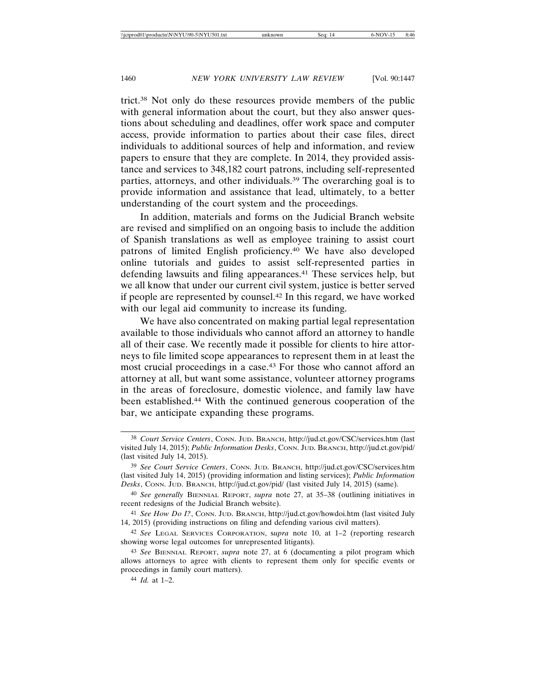trict.38 Not only do these resources provide members of the public with general information about the court, but they also answer questions about scheduling and deadlines, offer work space and computer access, provide information to parties about their case files, direct individuals to additional sources of help and information, and review papers to ensure that they are complete. In 2014, they provided assistance and services to 348,182 court patrons, including self-represented parties, attorneys, and other individuals.39 The overarching goal is to provide information and assistance that lead, ultimately, to a better understanding of the court system and the proceedings.

In addition, materials and forms on the Judicial Branch website are revised and simplified on an ongoing basis to include the addition of Spanish translations as well as employee training to assist court patrons of limited English proficiency.40 We have also developed online tutorials and guides to assist self-represented parties in defending lawsuits and filing appearances.41 These services help, but we all know that under our current civil system, justice is better served if people are represented by counsel.42 In this regard, we have worked with our legal aid community to increase its funding.

We have also concentrated on making partial legal representation available to those individuals who cannot afford an attorney to handle all of their case. We recently made it possible for clients to hire attorneys to file limited scope appearances to represent them in at least the most crucial proceedings in a case.43 For those who cannot afford an attorney at all, but want some assistance, volunteer attorney programs in the areas of foreclosure, domestic violence, and family law have been established.44 With the continued generous cooperation of the bar, we anticipate expanding these programs.

<sup>38</sup> *Court Service Centers*, CONN. JUD. BRANCH, http://jud.ct.gov/CSC/services.htm (last visited July 14, 2015); *Public Information Desks*, CONN. JUD. BRANCH, http://jud.ct.gov/pid/ (last visited July 14, 2015).

<sup>39</sup> *See Court Service Centers*, CONN. JUD. BRANCH, http://jud.ct.gov/CSC/services.htm (last visited July 14, 2015) (providing information and listing services); *Public Information Desks*, CONN. JUD. BRANCH, http://jud.ct.gov/pid/ (last visited July 14, 2015) (same).

<sup>40</sup> *See generally* BIENNIAL REPORT, *supra* note 27, at 35–38 (outlining initiatives in recent redesigns of the Judicial Branch website).

<sup>41</sup> *See How Do I?*, CONN. JUD. BRANCH, http://jud.ct.gov/howdoi.htm (last visited July 14, 2015) (providing instructions on filing and defending various civil matters).

<sup>42</sup> *See* LEGAL SERVICES CORPORATION, s*upra* note 10, at 1–2 (reporting research showing worse legal outcomes for unrepresented litigants).

<sup>43</sup> *See* BIENNIAL REPORT, *supra* note 27, at 6 (documenting a pilot program which allows attorneys to agree with clients to represent them only for specific events or proceedings in family court matters).

<sup>44</sup> *Id.* at 1–2.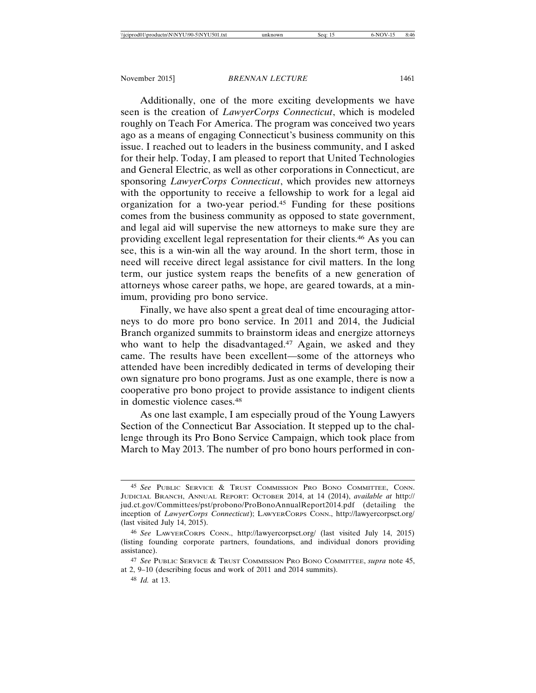Additionally, one of the more exciting developments we have seen is the creation of *LawyerCorps Connecticut*, which is modeled roughly on Teach For America. The program was conceived two years ago as a means of engaging Connecticut's business community on this issue. I reached out to leaders in the business community, and I asked for their help. Today, I am pleased to report that United Technologies and General Electric, as well as other corporations in Connecticut, are sponsoring *LawyerCorps Connecticut*, which provides new attorneys with the opportunity to receive a fellowship to work for a legal aid organization for a two-year period.45 Funding for these positions comes from the business community as opposed to state government, and legal aid will supervise the new attorneys to make sure they are providing excellent legal representation for their clients.46 As you can see, this is a win-win all the way around. In the short term, those in need will receive direct legal assistance for civil matters. In the long term, our justice system reaps the benefits of a new generation of attorneys whose career paths, we hope, are geared towards, at a minimum, providing pro bono service.

Finally, we have also spent a great deal of time encouraging attorneys to do more pro bono service. In 2011 and 2014, the Judicial Branch organized summits to brainstorm ideas and energize attorneys who want to help the disadvantaged.<sup>47</sup> Again, we asked and they came. The results have been excellent—some of the attorneys who attended have been incredibly dedicated in terms of developing their own signature pro bono programs. Just as one example, there is now a cooperative pro bono project to provide assistance to indigent clients in domestic violence cases.48

As one last example, I am especially proud of the Young Lawyers Section of the Connecticut Bar Association. It stepped up to the challenge through its Pro Bono Service Campaign, which took place from March to May 2013. The number of pro bono hours performed in con-

<sup>45</sup> *See* PUBLIC SERVICE & TRUST COMMISSION PRO BONO COMMITTEE, CONN. JUDICIAL BRANCH, ANNUAL REPORT: OCTOBER 2014, at 14 (2014), *available at* http:// jud.ct.gov/Committees/pst/probono/ProBonoAnnualReport2014.pdf (detailing the inception of *LawyerCorps Connecticut*); LAWYERCORPS CONN., http://lawyercorpsct.org/ (last visited July 14, 2015).

<sup>46</sup> *See* LAWYERCORPS CONN., http://lawyercorpsct.org/ (last visited July 14, 2015) (listing founding corporate partners, foundations, and individual donors providing assistance).

<sup>47</sup> *See* PUBLIC SERVICE & TRUST COMMISSION PRO BONO COMMITTEE, *supra* note 45, at 2, 9–10 (describing focus and work of 2011 and 2014 summits).

<sup>48</sup> *Id.* at 13.